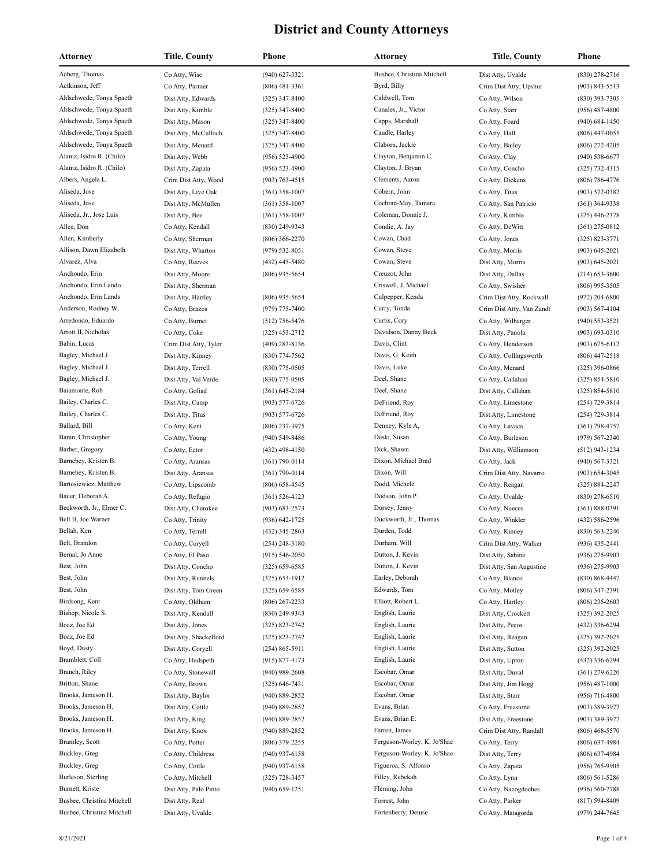| <b>Attorney</b>            | <b>Title, County</b>   | Phone              | <b>Attorney</b>             | <b>Title, County</b>      | Phone              |
|----------------------------|------------------------|--------------------|-----------------------------|---------------------------|--------------------|
| Aaberg, Thomas             | Co Atty, Wise          | (940) 627-3321     | Busbee, Christina Mitchell  | Dist Atty, Uvalde         | (830) 278-2716     |
| Actkinson, Jeff            | Co Atty, Parmer        | $(806)$ 481-3361   | Byrd, Billy                 | Crim Dist Atty, Upshur    | $(903) 843 - 5513$ |
| Ahlschwede, Tonya Spaeth   | Dist Atty, Edwards     | $(325)$ 347-8400   | Caldwell, Tom               | Co Atty, Wilson           | $(830)$ 393-7305   |
| Ahlschwede, Tonya Spaeth   | Dist Atty, Kimble      | $(325)$ 347-8400   | Canales, Jr., Victor        | Co Atty, Starr            | $(956)$ 487-4800   |
| Ahlschwede, Tonya Spaeth   | Dist Atty, Mason       | $(325)$ 347-8400   | Capps, Marshall             | Co Atty, Foard            | $(940) 684 - 1450$ |
| Ahlschwede, Tonya Spaeth   | Dist Atty, McCulloch   | $(325)$ 347-8400   | Caudle, Harley              | Co Atty, Hall             | $(806)$ 447-0055   |
| Ahlschwede, Tonya Spaeth   | Dist Atty, Menard      | $(325)$ 347-8400   | Claborn, Jackie             | Co Atty, Bailey           | $(806)$ 272-4205   |
| Alaniz, Isidro R. (Chilo)  | Dist Atty, Webb        | $(956) 523 - 4900$ | Clayton, Benjamin C.        | Co Atty, Clay             | $(940) 538 - 6677$ |
| Alaniz, Isidro R. (Chilo)  | Dist Atty, Zapata      | $(956) 523 - 4900$ | Clayton, J. Bryan           | Co Atty, Concho           | $(325)$ 732-4315   |
| Albers, Angela L.          | Crim Dist Atty, Wood   | $(903) 763 - 4515$ | Clements, Aaron             | Co Atty, Dickens          | $(806) 786 - 4776$ |
| Aliseda, Jose              | Dist Atty, Live Oak    | $(361)$ 358-1007   | Cobern, John                | Co Atty, Titus            | $(903) 572 - 0382$ |
| Aliseda, Jose              | Dist Atty, McMullen    | $(361)$ 358-1007   | Cochran-May, Tamara         | Co Atty, San Patricio     | $(361)$ 364-9338   |
| Aliseda, Jr., Jose Luis    | Dist Atty, Bee         | $(361)$ 358-1007   | Coleman, Donnie J.          | Co Atty, Kimble           | $(325)$ 446-2378   |
| Allee, Don                 | Co Atty, Kendall       | $(830)$ 249-9343   | Condie, A. Jay              | Co Atty, DeWitt           | $(361)$ 275-0812   |
| Allen, Kimberly            | Co Atty, Sherman       | $(806)$ 366-2270   | Cowan, Chad                 | Co Atty, Jones            | (325) 823-3771     |
| Allison, Dawn Elizabeth    | Dist Atty, Wharton     | $(979) 532 - 8051$ | Cowan, Steve                | Co Atty, Morris           | $(903) 645 - 2021$ |
| Alvarez, Alva              | Co Atty, Reeves        | $(432)$ 445-5480   | Cowan, Steve                | Dist Atty, Morris         | $(903) 645 - 2021$ |
| Anchondo, Erin             | Dist Atty, Moore       | $(806)$ 935-5654   | Creuzot, John               | Dist Atty, Dallas         | $(214) 653 - 3600$ |
| Anchondo, Erin Lando       | Dist Atty, Sherman     |                    | Criswell, J. Michael        | Co Atty, Swisher          | $(806)$ 995-3505   |
| Anchondo, Erin Lands       | Dist Atty, Hartley     | $(806)$ 935-5654   | Culpepper, Kenda            | Crim Dist Atty, Rockwall  | $(972)$ 204-6800   |
| Anderson, Rodney W.        | Co Atty, Brazos        | (979) 775-7400     | Curry, Tonda                | Crim Dist Atty, Van Zandt | $(903) 567 - 4104$ |
| Arredondo, Eduardo         | Co Atty, Burnet        | $(512)$ 756-5476   | Curtis, Cory                | Co Atty, Wilbarger        | $(940)$ 553-3521   |
| Arrott II, Nicholas        | Co Atty, Coke          | $(325)$ 453-2712   | Davidson, Danny Buck        | Dist Atty, Panola         | $(903) 693 - 0310$ |
| Babin, Lucas               | Crim Dist Atty, Tyler  | $(409)$ 283-8136   | Davis, Clint                | Co Atty, Henderson        | $(903) 675 - 6112$ |
| Bagley, Michael J.         | Dist Atty, Kinney      | $(830)$ 774-7562   | Davis, G. Keith             | Co Atty, Collingsworth    | $(806)$ 447-2518   |
| Bagley, Michael J.         | Dist Atty, Terrell     | $(830)$ 775-0505   | Davis, Luke                 | Co Atty, Menard           | $(325)$ 396-0866   |
| Bagley, Michael J.         | Dist Atty, Val Verde   | $(830)$ 775-0505   | Deel, Shane                 | Co Atty, Callahan         | (325) 854-5810     |
| Baiamonte, Rob             | Co Atty, Goliad        | $(361) 645 - 2184$ | Deel, Shane                 | Dist Atty, Callahan       | (325) 854-5810     |
| Bailey, Charles C.         | Dist Atty, Camp        | $(903)$ 577-6726   | DeFriend, Roy               | Co Atty, Limestone        | (254) 729-3814     |
| Bailey, Charles C.         | Dist Atty, Titus       | $(903)$ 577-6726   | DeFriend, Roy               | Dist Atty, Limestone      | (254) 729-3814     |
| Ballard, Bill              | Co Atty, Kent          | $(806)$ 237-3975   | Denney, Kyle A,             | Co Atty, Lavaca           | $(361) 798 - 4757$ |
| Baran, Christopher         | Co Atty, Young         | $(940)$ 549-8486   | Deski, Susan                | Co Atty, Burleson         | $(979) 567 - 2340$ |
| Barber, Gregory            | Co Atty, Ector         | $(432)$ 498-4150   | Dick, Shawn                 | Dist Atty, Williamson     | $(512)$ 943-1234   |
| Barnebey, Kristen B.       | Co Atty, Aransas       | $(361) 790 - 0114$ | Dixon, Michael Brad         | Co Atty, Jack             | $(940) 567 - 3321$ |
| Barnebey, Kristen B.       | Dist Atty, Aransas     | $(361) 790 - 0114$ | Dixon, Will                 | Crim Dist Atty, Navarro   | (903) 654-3045     |
| Bartosiewicz, Matthew      | Co Atty, Lipscomb      | $(806)$ 658-4545   | Dodd, Michele               | Co Atty, Reagan           | (325) 884-2247     |
| Bauer, Deborah A.          | Co Atty, Refugio       | $(361) 526 - 4123$ | Dodson, John P.             | Co Atty, Uvalde           | $(830)$ 278-6510   |
| Beckworth, Jr., Elmer C.   | Dist Atty, Cherokee    | $(903) 683 - 2573$ | Dorsey, Jenny               | Co Atty, Nueces           | $(361) 888 - 0391$ |
| Bell II, Joe Warner        | Co Atty, Trinity       | $(936) 642 - 1725$ | Duckworth, Jr., Thomas      | Co Atty, Winkler          | (432) 586-2596     |
| Bellah, Ken                | Co Atty, Terrell       | $(432)$ 345-2863   | Durden, Todd                | Co Atty, Kinney           | $(830) 563 - 2240$ |
| Belt, Brandon              | Co Atty, Coryell       | (254) 248-3180     | Durham, Will                | Crim Dist Atty, Walker    | (936) 435-2441     |
| Bernal, Jo Anne            | Co Atty, El Paso       | $(915) 546 - 2050$ | Dutton, J. Kevin            | Dist Atty, Sabine         | $(936)$ 275-9903   |
| Best, John                 | Dist Atty, Concho      | $(325) 659 - 6585$ | Dutton, J. Kevin            | Dist Atty, San Augustine  | $(936)$ 275-9903   |
| Best, John                 | Dist Atty, Runnels     | $(325) 653 - 1912$ | Earley, Deborah             | Co Atty, Blanco           | $(830) 868 - 4447$ |
| Best, John                 | Dist Atty, Tom Green   | $(325) 659 - 6585$ | Edwards, Tom                | Co Atty, Motley           | $(806)$ 347-2391   |
| Birdsong, Kent             | Co Atty, Oldham        | $(806)$ 267-2233   | Elliott, Robert L.          | Co Atty, Hartley          | $(806)$ 235-2603   |
| Bishop, Nicole S.          | Dist Atty, Kendall     | $(830)$ 249-9343   | English, Laurie             | Dist Atty, Crockett       | (325) 392-2025     |
| Boaz, Joe Ed               | Dist Atty, Jones       | $(325) 823 - 2742$ | English, Laurie             | Dist Atty, Pecos          | (432) 336-6294     |
| Boaz, Joe Ed               | Dist Atty, Shackelford | $(325) 823 - 2742$ | English, Laurie             | Dist Atty, Reagan         | $(325)$ 392-2025   |
| Boyd, Dusty                | Dist Atty, Coryell     | $(254) 865 - 5911$ | English, Laurie             | Dist Atty, Sutton         | $(325)$ 392-2025   |
| Bramblett, Coll            | Co Atty, Hudspeth      | $(915) 877 - 4173$ | English, Laurie             | Dist Atty, Upton          | (432) 336-6294     |
| Branch, Riley              | Co Atty, Stonewall     | $(940)$ 989-2608   | Escobar, Omar               | Dist Atty, Duval          | $(361)$ 279-6220   |
| Britton, Shane             | Co Atty, Brown         | $(325) 646 - 7431$ | Escobar, Omar               | Dist Atty, Jim Hogg       | $(956)$ 487-1000   |
| Brooks, Jameson H.         | Dist Atty, Baylor      | $(940) 889 - 2852$ | Escobar, Omar               | Dist Atty, Starr          | $(956)$ 716-4800   |
| Brooks, Jameson H.         | Dist Atty, Cottle      | $(940) 889 - 2852$ | Evans, Brian                | Co Atty, Freestone        | $(903)$ 389-3977   |
| Brooks, Jameson H.         | Dist Atty, King        | $(940) 889 - 2852$ | Evans, Brian E.             | Dist Atty, Freestone      | $(903)$ 389-3977   |
| Brooks, Jameson H.         | Dist Atty, Knox        | $(940) 889 - 2852$ | Farren, James               | Crim Dist Atty, Randall   | $(806)$ 468-5570   |
| Brumley, Scott             | Co Atty, Potter        | $(806)$ 379-2255   | Ferguson-Worley, K. Jo'Shae | Co Atty, Terry            | $(806)$ 637-4984   |
| Buckley, Greg              | Co Atty, Childress     | $(940)$ 937-6158   | Ferguson-Worley, K. Jo'Shae | Dist Atty, Terry          | (806) 637-4984     |
| Buckley, Greg              | Co Atty, Cottle        | $(940)$ 937-6158   | Figueroa, S. Alfonso        | Co Atty, Zapata           | $(956) 765 - 9905$ |
| Burleson, Sterling         | Co Atty, Mitchell      | $(325)$ 728-3457   | Filley, Rebekah             | Co Atty, Lynn             | (806) 561-5286     |
| Burnett, Kriste            | Dist Atty, Palo Pinto  | $(940) 659 - 1251$ | Fleming, John               | Co Atty, Nacogdoches      | $(936) 560 - 7788$ |
| Busbee, Christina Mitchell | Dist Atty, Real        |                    | Forrest, John               | Co Atty, Parker           | $(817) 594 - 8409$ |
| Busbee, Christina Mitchell | Dist Atty, Uvalde      |                    | Fortenberry, Denise         | Co Atty, Matagorda        | (979) 244-7645     |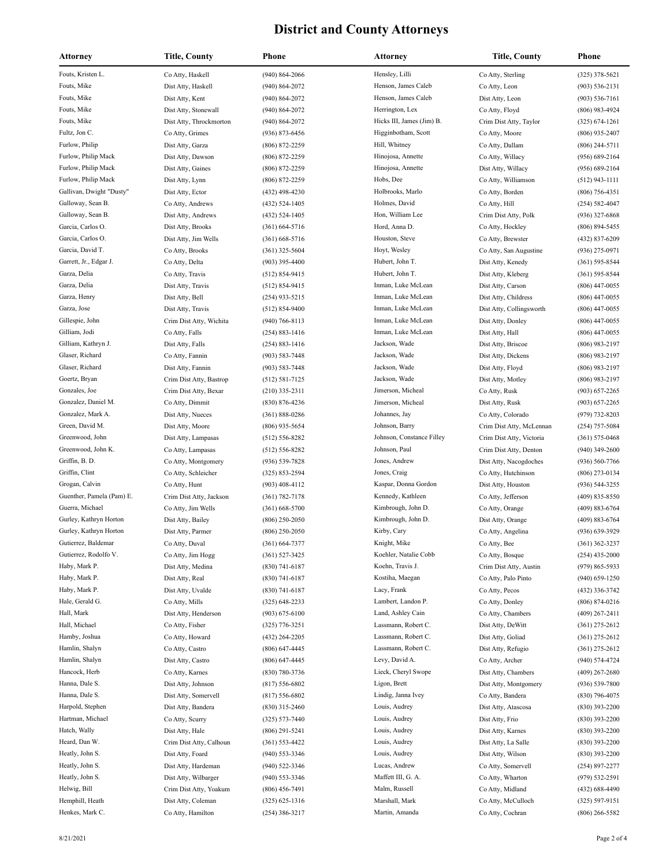| <b>Attorney</b>                      | Title, County                            | Phone                                | Attorney                           | Title, County                                        | Phone                                  |
|--------------------------------------|------------------------------------------|--------------------------------------|------------------------------------|------------------------------------------------------|----------------------------------------|
| Fouts, Kristen L.                    | Co Atty, Haskell                         | $(940) 864 - 2066$                   | Hensley, Lilli                     | Co Atty, Sterling                                    | $(325)$ 378-5621                       |
| Fouts, Mike                          | Dist Atty, Haskell                       | $(940) 864 - 2072$                   | Henson, James Caleb                | Co Atty, Leon                                        | $(903) 536 - 2131$                     |
| Fouts, Mike                          | Dist Atty, Kent                          | $(940) 864 - 2072$                   | Henson, James Caleb                | Dist Atty, Leon                                      | $(903) 536 - 7161$                     |
| Fouts, Mike                          | Dist Atty, Stonewall                     | $(940) 864 - 2072$                   | Herrington, Lex                    | Co Atty, Floyd                                       | $(806)$ 983-4924                       |
| Fouts, Mike                          | Dist Atty, Throckmorton                  | $(940) 864 - 2072$                   | Hicks III, James (Jim) B.          | Crim Dist Atty, Taylor                               | $(325) 674 - 1261$                     |
| Fultz, Jon C.                        | Co Atty, Grimes                          | (936) 873-6456                       | Higginbotham, Scott                | Co Atty, Moore                                       | $(806)$ 935-2407                       |
| Furlow, Philip                       | Dist Atty, Garza                         | (806) 872-2259                       | Hill, Whitney                      | Co Atty, Dallam                                      | $(806)$ 244-5711                       |
| Furlow, Philip Mack                  | Dist Atty, Dawson                        | (806) 872-2259                       | Hinojosa, Annette                  | Co Atty, Willacy                                     | $(956) 689 - 2164$                     |
| Furlow, Philip Mack                  | Dist Atty, Gaines                        | $(806) 872 - 2259$                   | Hinojosa, Annette                  | Dist Atty, Willacy                                   | $(956) 689 - 2164$                     |
| Furlow, Philip Mack                  | Dist Atty, Lynn                          | $(806) 872 - 2259$                   | Hobs, Dee                          | Co Atty, Williamson                                  | $(512)$ 943-1111                       |
| Gallivan, Dwight "Dusty"             | Dist Atty, Ector                         | (432) 498-4230                       | Holbrooks, Marlo                   | Co Atty, Borden                                      | $(806)$ 756-4351                       |
| Galloway, Sean B.                    | Co Atty, Andrews                         | (432) 524-1405                       | Holmes, David                      | Co Atty, Hill                                        | $(254) 582 - 4047$                     |
| Galloway, Sean B.                    | Dist Atty, Andrews                       | (432) 524-1405                       | Hon, William Lee                   | Crim Dist Atty, Polk                                 | $(936)$ 327-6868                       |
| Garcia, Carlos O.                    | Dist Atty, Brooks                        | $(361) 664 - 5716$                   | Hord, Anna D.                      | Co Atty, Hockley                                     | $(806) 894 - 5455$                     |
| Garcia, Carlos O.                    | Dist Atty, Jim Wells                     | $(361)$ 668-5716                     | Houston, Steve                     | Co Atty, Brewster                                    | $(432)$ 837-6209                       |
| Garcia, David T.                     | Co Atty, Brooks                          | (361) 325-5604                       | Hoyt, Wesley                       | Co Atty, San Augustine                               | $(936)$ 275-0971                       |
| Garrett, Jr., Edgar J.               | Co Atty, Delta                           | $(903)$ 395-4400                     | Hubert, John T.                    | Dist Atty, Kenedy                                    | $(361) 595 - 8544$                     |
| Garza, Delia                         | Co Atty, Travis                          | $(512) 854 - 9415$                   | Hubert, John T.                    | Dist Atty, Kleberg                                   | $(361) 595 - 8544$                     |
| Garza, Delia                         | Dist Atty, Travis                        | $(512) 854 - 9415$                   | Inman, Luke McLean                 | Dist Atty, Carson                                    | $(806)$ 447-0055                       |
| Garza, Henry                         | Dist Atty, Bell                          | $(254)$ 933-5215                     | Inman, Luke McLean                 | Dist Atty, Childress                                 | $(806)$ 447-0055                       |
| Garza, Jose                          | Dist Atty, Travis                        | $(512) 854 - 9400$                   | Inman, Luke McLean                 | Dist Atty, Collingsworth                             | $(806)$ 447-0055                       |
| Gillespie, John                      | Crim Dist Atty, Wichita                  | $(940) 766 - 8113$                   | Inman, Luke McLean                 | Dist Atty, Donley                                    | $(806)$ 447-0055                       |
| Gilliam, Jodi                        | Co Atty, Falls                           | $(254) 883 - 1416$                   | Inman, Luke McLean                 | Dist Atty, Hall                                      | $(806)$ 447-0055                       |
| Gilliam, Kathryn J.                  | Dist Atty, Falls                         | (254) 883-1416                       | Jackson, Wade                      | Dist Atty, Briscoe                                   | $(806)$ 983-2197                       |
| Glaser, Richard                      | Co Atty, Fannin                          | $(903) 583 - 7448$                   | Jackson, Wade                      | Dist Atty, Dickens                                   | $(806)$ 983-2197                       |
| Glaser, Richard                      | Dist Atty, Fannin                        | $(903) 583 - 7448$                   | Jackson, Wade                      | Dist Atty, Floyd                                     | $(806)$ 983-2197                       |
| Goertz, Bryan                        | Crim Dist Atty, Bastrop                  | $(512) 581 - 7125$                   | Jackson, Wade                      | Dist Atty, Motley                                    | $(806)$ 983-2197                       |
| Gonzales, Joe<br>Gonzalez, Daniel M. | Crim Dist Atty, Bexar                    | $(210)$ 335-2311                     | Jimerson, Micheal                  | Co Atty, Rusk                                        | $(903)$ 657-2265                       |
| Gonzalez, Mark A.                    | Co Atty, Dimmit                          | (830) 876-4236                       | Jimerson, Micheal<br>Johannes, Jay | Dist Atty, Rusk                                      | $(903)$ 657-2265                       |
| Green, David M.                      | Dist Atty, Nueces                        | $(361) 888 - 0286$                   | Johnson, Barry                     | Co Atty, Colorado                                    | (979) 732-8203                         |
| Greenwood, John                      | Dist Atty, Moore                         | (806) 935-5654<br>$(512) 556 - 8282$ | Johnson, Constance Filley          | Crim Dist Atty, McLennan<br>Crim Dist Atty, Victoria | $(254)$ 757-5084<br>$(361) 575 - 0468$ |
| Greenwood, John K.                   | Dist Atty, Lampasas<br>Co Atty, Lampasas | $(512) 556 - 8282$                   | Johnson, Paul                      | Crim Dist Atty, Denton                               | $(940)$ 349-2600                       |
| Griffin, B. D.                       | Co Atty, Montgomery                      | $(936) 539 - 7828$                   | Jones, Andrew                      | Dist Atty, Nacogdoches                               | $(936) 560 - 7766$                     |
| Griffin, Clint                       | Co Atty, Schleicher                      | $(325) 853 - 2594$                   | Jones, Craig                       | Co Atty, Hutchinson                                  | $(806)$ 273-0134                       |
| Grogan, Calvin                       | Co Atty, Hunt                            | $(903)$ 408-4112                     | Kaspar, Donna Gordon               | Dist Atty, Houston                                   | $(936) 544 - 3255$                     |
| Guenther, Pamela (Pam) E.            | Crim Dist Atty, Jackson                  | $(361) 782 - 7178$                   | Kennedy, Kathleen                  | Co Atty, Jefferson                                   | $(409) 835 - 8550$                     |
| Guerra, Michael                      | Co Atty, Jim Wells                       | $(361) 668 - 5700$                   | Kimbrough, John D.                 | Co Atty, Orange                                      | $(409) 883 - 6764$                     |
| Gurley, Kathryn Horton               | Dist Atty, Bailey                        | $(806)$ 250-2050                     | Kimbrough, John D.                 | Dist Atty, Orange                                    | $(409) 883 - 6764$                     |
| Gurley, Kathryn Horton               | Dist Atty, Parmer                        | $(806)$ 250-2050                     | Kirby, Cary                        | Co Atty, Angelina                                    | $(936) 639 - 3929$                     |
| Gutierrez, Baldemar                  | Co Atty, Duval                           | $(361) 664 - 7377$                   | Knight, Mike                       | Co Atty, Bee                                         | $(361)$ 362-3237                       |
| Gutierrez, Rodolfo V.                | Co Atty, Jim Hogg                        | $(361) 527 - 3425$                   | Koehler, Natalie Cobb              | Co Atty, Bosque                                      | $(254)$ 435-2000                       |
| Haby, Mark P.                        | Dist Atty, Medina                        | $(830) 741 - 6187$                   | Koehn, Travis J.                   | Crim Dist Atty, Austin                               | $(979) 865 - 5933$                     |
| Haby, Mark P.                        | Dist Atty, Real                          | $(830) 741 - 6187$                   | Kostiha, Maegan                    | Co Atty, Palo Pinto                                  | $(940) 659 - 1250$                     |
| Haby, Mark P.                        | Dist Atty, Uvalde                        | $(830) 741 - 6187$                   | Lacy, Frank                        | Co Atty, Pecos                                       | (432) 336-3742                         |
| Hale, Gerald G.                      | Co Atty, Mills                           | $(325)$ 648-2233                     | Lambert, Landon P.                 | Co Atty, Donley                                      | $(806) 874 - 0216$                     |
| Hall, Mark                           | Dist Atty, Henderson                     | $(903) 675 - 6100$                   | Land, Ashley Cain                  | Co Atty, Chambers                                    | $(409)$ 267-2411                       |
| Hall, Michael                        | Co Atty, Fisher                          | (325) 776-3251                       | Lassmann, Robert C.                | Dist Atty, DeWitt                                    | $(361)$ 275-2612                       |
| Hamby, Joshua                        | Co Atty, Howard                          | (432) 264-2205                       | Lassmann, Robert C.                | Dist Atty, Goliad                                    | $(361)$ 275-2612                       |
| Hamlin, Shalyn                       | Co Atty, Castro                          | $(806) 647 - 4445$                   | Lassmann, Robert C.                | Dist Atty, Refugio                                   | $(361)$ 275-2612                       |
| Hamlin, Shalyn                       | Dist Atty, Castro                        | $(806) 647 - 4445$                   | Levy, David A.                     | Co Atty, Archer                                      | (940) 574-4724                         |
| Hancock, Herb                        | Co Atty, Karnes                          | (830) 780-3736                       | Lieck, Cheryl Swope                | Dist Atty, Chambers                                  | $(409)$ 267-2680                       |
| Hanna, Dale S.                       | Dist Atty, Johnson                       | $(817) 556 - 6802$                   | Ligon, Brett                       | Dist Atty, Montgomery                                | $(936) 539 - 7800$                     |
| Hanna, Dale S.                       | Dist Atty, Somervell                     | $(817) 556 - 6802$                   | Lindig, Janna Ivey                 | Co Atty, Bandera                                     | $(830)$ 796-4075                       |
| Harpold, Stephen                     | Dist Atty, Bandera                       | $(830)$ 315-2460                     | Louis, Audrey                      | Dist Atty, Atascosa                                  | $(830)$ 393-2200                       |
| Hartman, Michael                     | Co Atty, Scurry                          | (325) 573-7440                       | Louis, Audrey                      | Dist Atty, Frio                                      | $(830)$ 393-2200                       |
| Hatch, Wally                         | Dist Atty, Hale                          | $(806)$ 291-5241                     | Louis, Audrey                      | Dist Atty, Karnes                                    | $(830)$ 393-2200                       |
| Heard, Dan W.                        | Crim Dist Atty, Calhoun                  | (361) 553-4422                       | Louis, Audrey                      | Dist Atty, La Salle                                  | $(830)$ 393-2200                       |
| Heatly, John S.                      | Dist Atty, Foard                         | (940) 553-3346                       | Louis, Audrey                      | Dist Atty, Wilson                                    | $(830)$ 393-2200                       |
| Heatly, John S.                      | Dist Atty, Hardeman                      | (940) 522-3346                       | Lucas, Andrew                      | Co Atty, Somervell                                   | $(254)$ 897-2277                       |
| Heatly, John S.                      | Dist Atty, Wilbarger                     | (940) 553-3346                       | Maffett III, G. A.                 | Co Atty, Wharton                                     | $(979) 532 - 2591$                     |
| Helwig, Bill                         | Crim Dist Atty, Yoakum                   | $(806)$ 456-7491                     | Malm, Russell                      | Co Atty, Midland                                     | $(432) 688 - 4490$                     |
| Hemphill, Heath                      | Dist Atty, Coleman                       | $(325)$ 625-1316                     | Marshall, Mark                     | Co Atty, McCulloch                                   | $(325) 597 - 9151$                     |
| Henkes, Mark C.                      | Co Atty, Hamilton                        | (254) 386-3217                       | Martin, Amanda                     | Co Atty, Cochran                                     | $(806)$ 266-5582                       |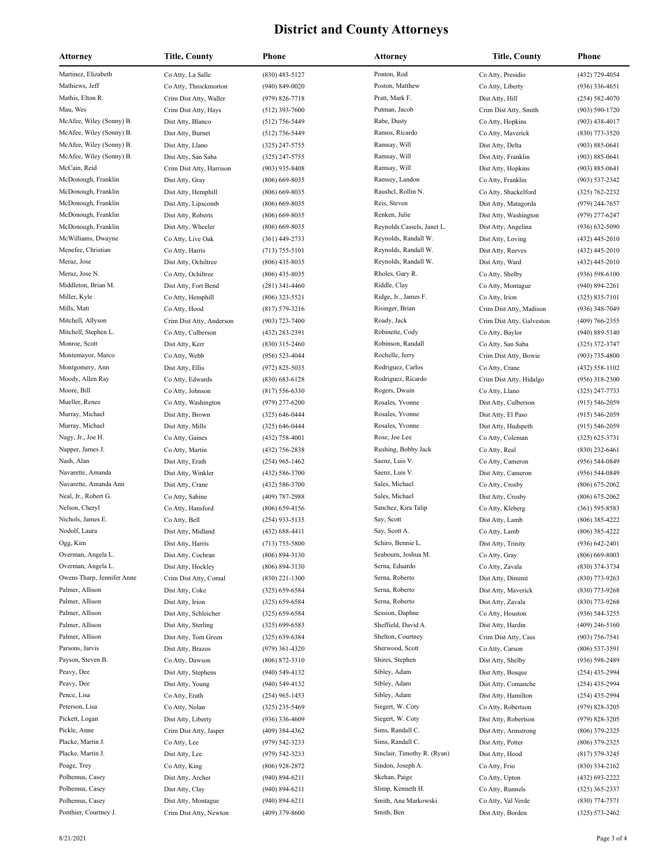| Attorney                           | Title, County                          | Phone                                    | <b>Attorney</b>                    | Title, County                             | Phone                                  |
|------------------------------------|----------------------------------------|------------------------------------------|------------------------------------|-------------------------------------------|----------------------------------------|
| Martinez, Elizabeth                | Co Atty, La Salle                      | $(830)$ 483-5127                         | Ponton, Rod                        | Co Atty, Presidio                         | (432) 729-4054                         |
| Mathiews, Jeff                     | Co Atty, Throckmorton                  | $(940) 849 - 0020$                       | Poston, Matthew                    | Co Atty, Liberty                          | $(936)$ 336-4651                       |
| Mathis, Elton R.                   | Crim Dist Atty, Waller                 | $(979) 826 - 7718$                       | Pratt, Mark F.                     | Dist Atty, Hill                           | $(254) 582 - 4070$                     |
| Mau, Wes                           | Crim Dist Atty, Hays                   | $(512)$ 393-7600                         | Putman, Jacob                      | Crim Dist Atty, Smith                     | $(903) 590 - 1720$                     |
| McAfee, Wiley (Sonny) B.           | Dist Atty, Blanco                      | $(512)$ 756-5449                         | Rabe, Dusty                        | Co Atty, Hopkins                          | $(903)$ 438-4017                       |
| McAfee, Wiley (Sonny) B.           | Dist Atty, Burnet                      | $(512)$ 756-5449                         | Ramos, Ricardo                     | Co Atty, Maverick                         | $(830)$ 773-3520                       |
| McAfee, Wiley (Sonny) B.           | Dist Atty, Llano                       | $(325)$ 247-5755                         | Ramsay, Will                       | Dist Atty, Delta                          | $(903) 885 - 0641$                     |
| McAfee, Wiley (Sonny) B.           | Dist Atty, San Saba                    | $(325)$ 247-5755                         | Ramsay, Will                       | Dist Atty, Franklin                       | $(903) 885 - 0641$                     |
| McCain, Reid                       | Crim Dist Atty, Harrison               | $(903)$ 935-8408                         | Ramsay, Will                       | Dist Atty, Hopkins                        | $(903) 885 - 0641$                     |
| McDonough, Franklin                | Dist Atty, Gray                        | $(806) 669 - 8035$                       | Ramsey, Landon                     | Co Atty, Franklin                         | $(903) 537 - 2342$                     |
| McDonough, Franklin                | Dist Atty, Hemphill                    | $(806)$ 669-8035                         | Raushel, Rollin N.                 | Co Atty, Shackelford                      | $(325) 762 - 2232$                     |
| McDonough, Franklin                | Dist Atty, Lipscomb                    | $(806)$ 669-8035                         | Reis, Steven                       | Dist Atty, Matagorda                      | $(979)$ 244-7657                       |
| McDonough, Franklin                | Dist Atty, Roberts                     | $(806)$ 669-8035                         | Renken, Julie                      | Dist Atty, Washington                     | $(979)$ 277-6247                       |
| McDonough, Franklin                | Dist Atty, Wheeler                     | $(806)$ 669-8035                         | Reynolds Cassels, Janet L.         | Dist Atty, Angelina                       | $(936) 632 - 5090$                     |
| McWilliams, Dwayne                 | Co Atty, Live Oak                      | $(361)$ 449-2733                         | Reynolds, Randall W.               | Dist Atty, Loving                         | $(432)$ 445-2010                       |
| Menefee, Christian                 | Co Atty, Harris                        | $(713) 755 - 5101$                       | Reynolds, Randall W.               | Dist Atty, Reeves                         | $(432)$ 445-2010                       |
| Meraz, Jose                        | Dist Atty, Ochiltree                   | $(806)$ 435-8035                         | Reynolds, Randall W.               | Dist Atty, Ward                           | $(432)$ 445-2010                       |
| Meraz, Jose N.                     | Co Atty, Ochiltree                     | $(806)$ 435-8035                         | Rholes, Gary R.                    | Co Atty, Shelby                           | $(936) 598 - 6100$                     |
| Middleton, Brian M.                | Dist Atty, Fort Bend                   | $(281)$ 341-4460                         | Riddle, Clay                       | Co Atty, Montague                         | $(940) 894 - 2261$                     |
| Miller, Kyle                       | Co Atty, Hemphill                      | $(806)$ 323-5521                         | Ridge, Jr., James F.               | Co Atty, Irion                            | $(325) 835 - 7101$                     |
| Mills, Matt                        | Co Atty, Hood                          | $(817) 579 - 3216$                       | Risinger, Brian                    | Crim Dist Atty, Madison                   | $(936)$ 348-7049                       |
| Mitchell, Allyson                  | Crim Dist Atty, Anderson               | $(903) 723 - 7400$                       | Roady, Jack                        | Crim Dist Atty, Galveston                 | $(409) 766 - 2355$                     |
| Mitchell, Stephen L.               | Co Atty, Culberson                     | (432) 283-2391                           | Robinette, Cody                    | Co Atty, Baylor                           | $(940) 889 - 5140$                     |
| Monroe, Scott                      | Dist Atty, Kerr                        | $(830)$ 315-2460                         | Robinson, Randall                  | Co Atty, San Saba                         | $(325)$ 372-3747                       |
| Montemayor, Marco                  | Co Atty, Webb                          | $(956) 523 - 4044$                       | Rochelle, Jerry                    | Crim Dist Atty, Bowie                     | $(903) 735 - 4800$                     |
| Montgomery, Ann                    | Dist Atty, Ellis                       | $(972) 825 - 5035$                       | Rodriguez, Carlos                  | Co Atty, Crane                            | $(432)$ 558-1102                       |
| Moody, Allen Ray                   | Co Atty, Edwards                       | $(830) 683 - 6128$                       | Rodriguez, Ricardo                 | Crim Dist Atty, Hidalgo                   | $(956)$ 318-2300                       |
| Moore, Bill                        | Co Atty, Johnson                       | $(817) 556 - 6330$                       | Rogers, Dwain                      | Co Atty, Llano                            | $(325)$ 247-7733                       |
| Mueller, Renee<br>Murray, Michael  | Co Atty, Washington                    | $(979)$ 277-6200                         | Rosales, Yvonne<br>Rosales, Yvonne | Dist Atty, Culberson                      | $(915) 546 - 2059$                     |
| Murray, Michael                    | Dist Atty, Brown<br>Dist Atty, Mills   | $(325) 646 - 0444$<br>$(325) 646 - 0444$ | Rosales, Yvonne                    | Dist Atty, El Paso<br>Dist Atty, Hudspeth | $(915) 546 - 2059$                     |
| Nagy, Jr., Joe H.                  | Co Atty, Gaines                        | $(432)$ 758-4001                         | Rose, Joe Lee                      | Co Atty, Coleman                          | $(915) 546 - 2059$<br>$(325)$ 625-3731 |
| Napper, James J.                   | Co Atty, Martin                        | (432) 756-2838                           | Rushing, Bobby Jack                | Co Atty, Real                             | $(830)$ 232-6461                       |
| Nash, Alan                         | Dist Atty, Erath                       | $(254)$ 965-1462                         | Saenz, Luis V.                     | Co Atty, Cameron                          | $(956) 544 - 0849$                     |
| Navarette, Amanda                  | Dist Atty, Winkler                     | $(432) 586 - 3700$                       | Saenz, Luis V.                     | Dist Atty, Cameron                        | $(956) 544 - 0849$                     |
| Navarette, Amanda Ann              | Dist Atty, Crane                       | $(432) 586 - 3700$                       | Sales, Michael                     | Co Atty, Crosby                           | $(806)$ 675-2062                       |
| Neal, Jr., Robert G.               | Co Atty, Sabine                        | $(409)$ 787-2988                         | Sales, Michael                     | Dist Atty, Crosby                         | $(806)$ 675-2062                       |
| Nelson, Cheryl                     | Co Atty, Hansford                      | $(806)$ 659-4156                         | Sanchez, Kira Talip                | Co Atty, Kleberg                          | $(361) 595 - 8583$                     |
| Nichols, James E.                  | Co Atty, Bell                          | $(254)$ 933-5135                         | Say, Scott                         | Dist Atty, Lamb                           | $(806)$ 385-4222                       |
| Nodolf, Laura                      | Dist Atty, Midland                     | $(432) 688 - 4411$                       | Say, Scott A.                      | Co Atty, Lamb                             | $(806)$ 385-4222                       |
| Ogg, Kim                           | Dist Atty, Harris                      | $(713) 755 - 5800$                       | Schiro, Bennie L.                  | Dist Atty, Trinity                        | (936) 642-2401                         |
| Overman, Angela L.                 | Dist Atty, Cochran                     | $(806) 894 - 3130$                       | Seabourn, Joshua M.                | Co Atty, Gray                             | $(806) 669 - 8003$                     |
| Overman, Angela L.                 | Dist Atty, Hockley                     | (806) 894-3130                           | Serna, Eduardo                     | Co Atty, Zavala                           | $(830)$ 374-3734                       |
| Owens Tharp, Jennifer Anne         | Crim Dist Atty, Comal                  | $(830)$ 221-1300                         | Serna, Roberto                     | Dist Atty, Dimmit                         | (830) 773-9263                         |
| Palmer, Allison                    | Dist Atty, Coke                        | $(325) 659 - 6584$                       | Serna, Roberto                     | Dist Atty, Maverick                       | $(830)$ 773-9268                       |
| Palmer, Allison                    | Dist Atty, Irion                       | $(325) 659 - 6584$                       | Serna, Roberto                     | Dist Atty, Zavala                         | $(830)$ 773-9268                       |
| Palmer, Allison                    | Dist Atty, Schleicher                  | $(325) 659 - 6584$                       | Session, Daphne                    | Co Atty, Houston                          | $(936) 544 - 3255$                     |
| Palmer, Allison                    | Dist Atty, Sterling                    | $(325) 699 - 6583$                       | Sheffield, David A.                | Dist Atty, Hardin                         | $(409)$ 246-5160                       |
| Palmer, Allison                    | Dist Atty, Tom Green                   | $(325) 639 - 6384$                       | Shelton, Courtney                  | Crim Dist Atty, Cass                      | $(903) 756 - 7541$                     |
| Parsons, Jarvis                    | Dist Atty, Brazos                      | (979) 361-4320                           | Sherwood, Scott                    | Co Atty, Carson                           | $(806)$ 537-3591                       |
| Payson, Steven B.                  | Co Atty, Dawson                        | $(806) 872 - 3310$                       | Shires, Stephen                    | Dist Atty, Shelby                         | $(936) 598 - 2489$                     |
| Peavy, Dee                         | Dist Atty, Stephens                    | $(940) 549 - 4132$                       | Sibley, Adam                       | Dist Atty, Bosque                         | $(254)$ 435-2994                       |
| Peavy, Dee                         | Dist Atty, Young                       | $(940)$ 549-4132                         | Sibley, Adam                       | Dist Atty, Comanche                       | $(254)$ 435-2994                       |
| Pence, Lisa                        | Co Atty, Erath                         | $(254)$ 965-1453                         | Sibley, Adam                       | Dist Atty, Hamilton                       | $(254)$ 435-2994                       |
| Peterson, Lisa                     | Co Atty, Nolan                         | $(325)$ 235-5469                         | Siegert, W. Coty                   | Co Atty, Robertson                        | $(979)$ 828-3205                       |
| Pickett, Logan                     | Dist Atty, Liberty                     | $(936)$ 336-4609                         | Siegert, W. Coty                   | Dist Atty, Robertson                      | $(979)$ 828-3205                       |
| Pickle, Anne                       | Crim Dist Atty, Jasper                 | $(409)$ 384-4362                         | Sims, Randall C.                   | Dist Atty, Armstrong                      | $(806)$ 379-2325                       |
| Placke, Martin J.                  | Co Atty, Lee                           | (979) 542-3233                           | Sims, Randall C.                   | Dist Atty, Potter                         | $(806)$ 379-2325                       |
| Placke, Martin J.                  | Dist Atty, Lee                         | $(979)$ 542-3233                         | Sinclair, Timothy R. (Ryan)        | Dist Atty, Hood                           | $(817) 579 - 3245$                     |
| Poage, Trey                        | Co Atty, King                          | $(806)$ 928-2872                         | Sindon, Joseph A.                  | Co Atty, Frio                             | $(830)$ 334-2162                       |
| Polhemus, Casey<br>Polhemus, Casey | Dist Atty, Archer                      | $(940) 894 - 6211$                       | Skehan, Paige<br>Slimp, Kenneth H. | Co Atty, Upton                            | (432) 693-2222                         |
| Polhemus, Casey                    | Dist Atty, Clay<br>Dist Atty, Montague | $(940) 894 - 6211$<br>$(940) 894 - 6211$ | Smith, Ana Markowski               | Co Atty, Runnels<br>Co Atty, Val Verde    | $(325)$ 365-2337<br>$(830)$ 774-7571   |
| Ponthier, Courtney J.              | Crim Dist Atty, Newton                 | $(409)$ 379-8600                         | Smith, Ben                         | Dist Atty, Borden                         | $(325) 573 - 2462$                     |
|                                    |                                        |                                          |                                    |                                           |                                        |